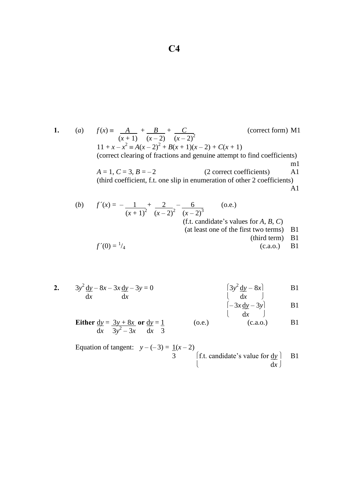**1.** (*a*)  $f(x) = A + B + C$  (correct form) M1  $(x+1)$   $(x-2)$   $(x-2)^2$  $11 + x - x^2 \equiv A(x-2)^2 + B(x+1)(x-2) + C(x+1)$ (correct clearing of fractions and genuine attempt to find coefficients) m1  $A = 1, C = 3, B = -2$  (2 correct coefficients) A1 (third coefficient, f.t. one slip in enumeration of other 2 coefficients) A1 (*b*)  $f'(x) = -1 + 2 - 6$  (o.e.)

$$
(x + 1)^2 \quad \overline{(x - 2)^2} \quad \overline{(x - 2)^3}
$$
\n
$$
(f.t. candidate's values for A, B, C)\n
$$
(at least one of the first two terms) \quad \text{B1}
$$
\n
$$
(third term) \quad \text{B1}
$$
\n
$$
(c.a.o.) \quad \text{B1}
$$
$$

**2.**  $3y^2 \frac{dy}{dx} - 8x - 3x \frac{dy}{dx} - 3y = 0$  (3*y*  $\frac{2}{y} - 8x$  B1 d*x* d*x* d*x* d*x* d

$$
\begin{bmatrix} -3x \frac{dy}{dx} - 3y \\ dx \end{bmatrix}
$$
 B1

**Either**  $dy = 3y + 8x$  or  $dy = 1$  (o.e.) (c.a.o.) B1  $\frac{1}{2}$   $\frac{1}{3}$   $\frac{3}{2}$   $\frac{3}{2}$   $\frac{3}{2}$   $\frac{1}{2}$   $\frac{1}{3}$ 

Equation of tangent:  $y - (-3) = 1(x - 2)$ 3 f.t. candidate's value for  $\frac{dy}{dx}$  B1 d*x*  $\frac{1}{2}$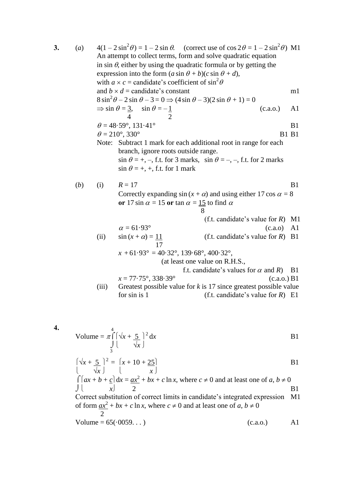| 3. | (a) | $4(1-2\sin^2\theta) = 1-2\sin\theta$ . (correct use of $\cos 2\theta = 1-2\sin^2\theta$ ) M1<br>An attempt to collect terms, form and solve quadratic equation<br>in sin $\theta$ , either by using the quadratic formula or by getting the<br>expression into the form $(a \sin \theta + b)(c \sin \theta + d)$ ,<br>with $a \times c$ = candidate's coefficient of $\sin^2 \theta$ |                                                                                                                                                                                                                                    |                                   |          |                |  |
|----|-----|--------------------------------------------------------------------------------------------------------------------------------------------------------------------------------------------------------------------------------------------------------------------------------------------------------------------------------------------------------------------------------------|------------------------------------------------------------------------------------------------------------------------------------------------------------------------------------------------------------------------------------|-----------------------------------|----------|----------------|--|
|    |     |                                                                                                                                                                                                                                                                                                                                                                                      | and $b \times d$ = candidate's constant                                                                                                                                                                                            |                                   |          | m1             |  |
|    |     | $8 \sin^2 \theta - 2 \sin \theta - 3 = 0 \Rightarrow (4 \sin \theta - 3)(2 \sin \theta + 1) = 0$                                                                                                                                                                                                                                                                                     |                                                                                                                                                                                                                                    |                                   |          |                |  |
|    |     |                                                                                                                                                                                                                                                                                                                                                                                      | $\Rightarrow$ sin $\theta = \frac{3}{4}$ , sin $\theta = -\frac{1}{2}$                                                                                                                                                             |                                   | (c.a.o.) | A1             |  |
|    |     |                                                                                                                                                                                                                                                                                                                                                                                      | $\theta = 48.59^{\circ}, 131.41^{\circ}$                                                                                                                                                                                           |                                   |          | B <sub>1</sub> |  |
|    |     |                                                                                                                                                                                                                                                                                                                                                                                      | $\theta = 210^{\circ}, 330^{\circ}$                                                                                                                                                                                                |                                   |          | <b>B1 B1</b>   |  |
|    |     |                                                                                                                                                                                                                                                                                                                                                                                      | Note: Subtract 1 mark for each additional root in range for each<br>branch, ignore roots outside range.<br>$\sin \theta = +, -,$ f.t. for 3 marks, $\sin \theta = -, -,$ f.t. for 2 marks<br>$\sin \theta = +, +,$ f.t. for 1 mark |                                   |          |                |  |
|    |     |                                                                                                                                                                                                                                                                                                                                                                                      |                                                                                                                                                                                                                                    |                                   |          |                |  |
|    | (b) | (i)                                                                                                                                                                                                                                                                                                                                                                                  | $R = 17$<br>Correctly expanding $\sin(x + \alpha)$ and using either 17 cos $\alpha = 8$<br>or 17 sin $\alpha$ = 15 or tan $\alpha$ = 15 to find $\alpha$                                                                           |                                   |          | B <sub>1</sub> |  |
|    |     |                                                                                                                                                                                                                                                                                                                                                                                      |                                                                                                                                                                                                                                    | 8                                 |          | M1             |  |
|    |     |                                                                                                                                                                                                                                                                                                                                                                                      | $\alpha = 61.93^{\circ}$                                                                                                                                                                                                           | (f.t. candidate's value for $R$ ) | (c.a.0)  | A <sub>1</sub> |  |
|    |     | (ii)                                                                                                                                                                                                                                                                                                                                                                                 | $\sin(x + \alpha) = 11$<br>17                                                                                                                                                                                                      | (f.t. candidate's value for $R$ ) |          | <b>B</b> 1     |  |
|    |     |                                                                                                                                                                                                                                                                                                                                                                                      | $x + 61.93^{\circ} = 40.32^{\circ}, 139.68^{\circ}, 400.32^{\circ},$                                                                                                                                                               | (at least one value on R.H.S.,    |          |                |  |

**4.**<sup>4</sup> Volume =  $\pi \int \left( \sqrt{x+5} \right)^2$  $dx$  B1  $\int_{3}^{3}$   $\sqrt{x}$ 

$$
\begin{cases}\n\sqrt{x} + \frac{5}{\sqrt{x}}\n\end{cases}^2 = \begin{cases}\nx + 10 + \frac{25}{x}\n\end{cases}
$$
\nB1  
\n
$$
\int [ax + b + c] dx = ax^2 + bx + c \ln x, \text{ where } c \neq 0 \text{ and at least one of } a, b \neq 0
$$

| \n $\begin{array}{r}\n \text{Let } b + b = \frac{ax}{b} + bx + c \text{ max}, \text{ where } c \neq 0 \text{ and at least one of } a, b \neq 0 \\ \text{Correct substitution of correct limits in candidate's integrated expression} \\ \text{If } \frac{ax^2}{b} + bx + c \text{ in } x, \text{ where } c \neq 0 \text{ and at least one of } a, b \neq 0\n \end{array}$ \n |
|------------------------------------------------------------------------------------------------------------------------------------------------------------------------------------------------------------------------------------------------------------------------------------------------------------------------------------------------------------------------------|
|------------------------------------------------------------------------------------------------------------------------------------------------------------------------------------------------------------------------------------------------------------------------------------------------------------------------------------------------------------------------------|

Volume = 
$$
65(.0059...)
$$
 (c.a.o.) A1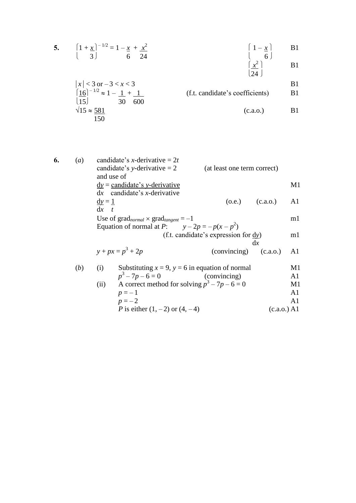5. 
$$
\left(1+\frac{x}{3}\right)^{-1/2} = 1 - \frac{x}{6} + \frac{x^2}{24}
$$
  $\left(1-\frac{x}{6}\right)$  B1  
\n $\left(\frac{x^2}{24}\right)$  B1  
\n $\left(\frac{x^2}{24}\right)$ 

$$
|x| < 3
$$
 or  $-3 < x < 3$   
\n $\left|\frac{16}{15}\right|^{-1/2} \approx 1 - \frac{1}{30} + \frac{1}{600}$   
\n $\sqrt{15} \approx \frac{581}{150}$  (f.t. candidate's coefficients) B1  
\n(c.a.o.) B1

| 6. | (a) | candidate's x-derivative = $2t$<br>candidate's y-derivative $= 2$<br>and use of | (at least one term correct)          |                |
|----|-----|---------------------------------------------------------------------------------|--------------------------------------|----------------|
|    |     | $\underline{dy}$ = candidate's y-derivative                                     |                                      | M1             |
|    |     | $dx$ candidate's <i>x</i> -derivative                                           |                                      |                |
|    |     | $\underline{dy} = 1$                                                            | $(0.e.)$ $(c.a.0.)$                  | A1             |
|    |     | $dx$ t                                                                          |                                      |                |
|    |     | Use of $\text{grad}_{normal} \times \text{grad}_{tangent} = -1$                 |                                      | m1             |
|    |     | Equation of normal at P: $y-2p = -p(x-p^2)$                                     |                                      |                |
|    |     |                                                                                 | (f.t. candidate's expression for dy) | ml             |
|    |     |                                                                                 |                                      | dx             |
|    |     | $y + px = p^3 + 2p$                                                             | (convincing)                         | (c.a.o.)<br>A1 |
|    | (b) | Substituting $x = 9$ , $y = 6$ in equation of normal<br>(i)                     |                                      | M1             |
|    |     | $p^3 - 7p - 6 = 0$                                                              | (convincing)                         | A1             |
|    |     | (ii) A correct method for solving $p^3 - 7p - 6 = 0$                            |                                      | M1             |
|    |     | $p=-1$                                                                          |                                      | A <sub>1</sub> |
|    |     | $p=-2$                                                                          |                                      | A1             |
|    |     | <i>P</i> is either $(1, -2)$ or $(4, -4)$                                       |                                      | (c.a.o.) A1    |
|    |     |                                                                                 |                                      |                |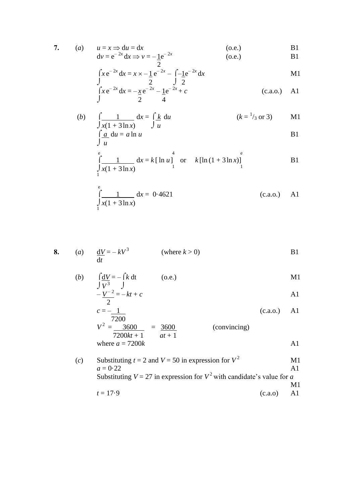7. (a) 
$$
u = x \Rightarrow du = dx
$$
 (o.e.)  
\t $dv = e^{-2x} dx \Rightarrow v = -\underline{1}e^{-2x}$  (o.e.)  
\t $B1$ 

$$
\int \frac{1}{2} x e^{-2x} dx = x \times -\frac{1}{2} e^{-2x} - \int -\frac{1}{2} e^{-2x} dx
$$

$$
\int_{x}^{a} x e^{-2x} dx = -\frac{1}{2} e^{-2x} - \frac{1}{4} e^{-2x} + c
$$
\n
$$
\int_{a}^{b} (c.a.o.) \quad A1
$$

(b) 
$$
\int \frac{1}{x(1+3\ln x)} dx = \int \frac{k}{u} du
$$
   
  $\int \frac{a}{u} du = a \ln u$    
 (k = <sup>1</sup>/<sub>3</sub> or 3) M1  
B1

$$
\int_{\frac{1}{1}}^{e} \frac{1}{x(1+3\ln x)} dx = k [\ln u]_{1}^{4} \text{ or } k[\ln(1+3\ln x)]_{1}^{e}
$$
 B1

$$
\int_{\frac{1}{1}}^{\frac{e}{1}} \frac{1}{x(1+3\ln x)} dx = 0.4621
$$
 (c.a.o.) A1

8. (a) 
$$
\frac{dV}{dt} = -kV^3
$$
 (where  $k > 0$ )  
B1

(b) 
$$
\int \frac{dV}{V^3} = -\int k dt
$$
 (o.e.)  

$$
\int \frac{dV}{V^2} = -\int k dt
$$

$$
-\frac{V^{-2}}{2} = -kt + c
$$

$$
V^{2} = \frac{7200}{7200kt + 1} = \frac{3600}{at + 1}
$$
 (convincing)  
where  $a = 7200k$ 

(c) Substituting 
$$
t = 2
$$
 and  $V = 50$  in expression for  $V^2$    
\n $a = 0.22$    
\nSubstituting  $V = 27$  in expression for  $V^2$  with candidate's value for a  
\n $t = 17.9$    
\n $(c.a.o)$    
\nA1   
\nA2   
\nA3   
\nA4   
\nA5   
\nA6   
\nA7   
\nA8   
\nA9   
\nA1   
\nA2   
\nA3   
\nA4   
\nA5   
\nA6   
\nA7   
\nA8   
\nA9   
\nA1   
\nA2   
\nA3   
\nA4   
\nA5   
\nA6   
\nA7   
\nA8   
\nA9   
\nA1   
\nA2   
\nB3   
\nB4   
\nB5   
\nB6   
\nB7   
\nB8   
\nB9   
\nB1   
\nB2   
\nB3   
\nB4   
\nB5   
\nB6   
\nB7   
\nB8   
\nB9   
\nB1   
\nB2   
\nB3   
\nB4   
\nB5   
\nB6   
\nB7   
\nB8   
\nB9   
\nB1   
\nB2   
\nB3   
\nB4   
\nB5   
\nB6   
\nB7   
\nB8   
\nB9   
\nB1   
\nB1   
\nB2   
\nB3   
\nB4   
\nB5   
\nB6   
\nB7   
\nB8   
\nB9   
\nB1   
\nB1   
\nB2   
\nB3   
\nB4   
\nB5   
\nB6   
\nB7   
\nB8   
\nB9   
\nB1   
\nB1   
\nB2   
\nB3   
\nB4   
\nB5   
\nB6   
\nB7   
\nB8   
\nB9   
\nB1   
\nB1   
\nB2   
\nB3   
\nB4   
\nB5   
\nB6   
\nB7   
\nB8   
\nB9   
\nB1   
\nB1   
\nB2   
\nB3   
\nB4   
\